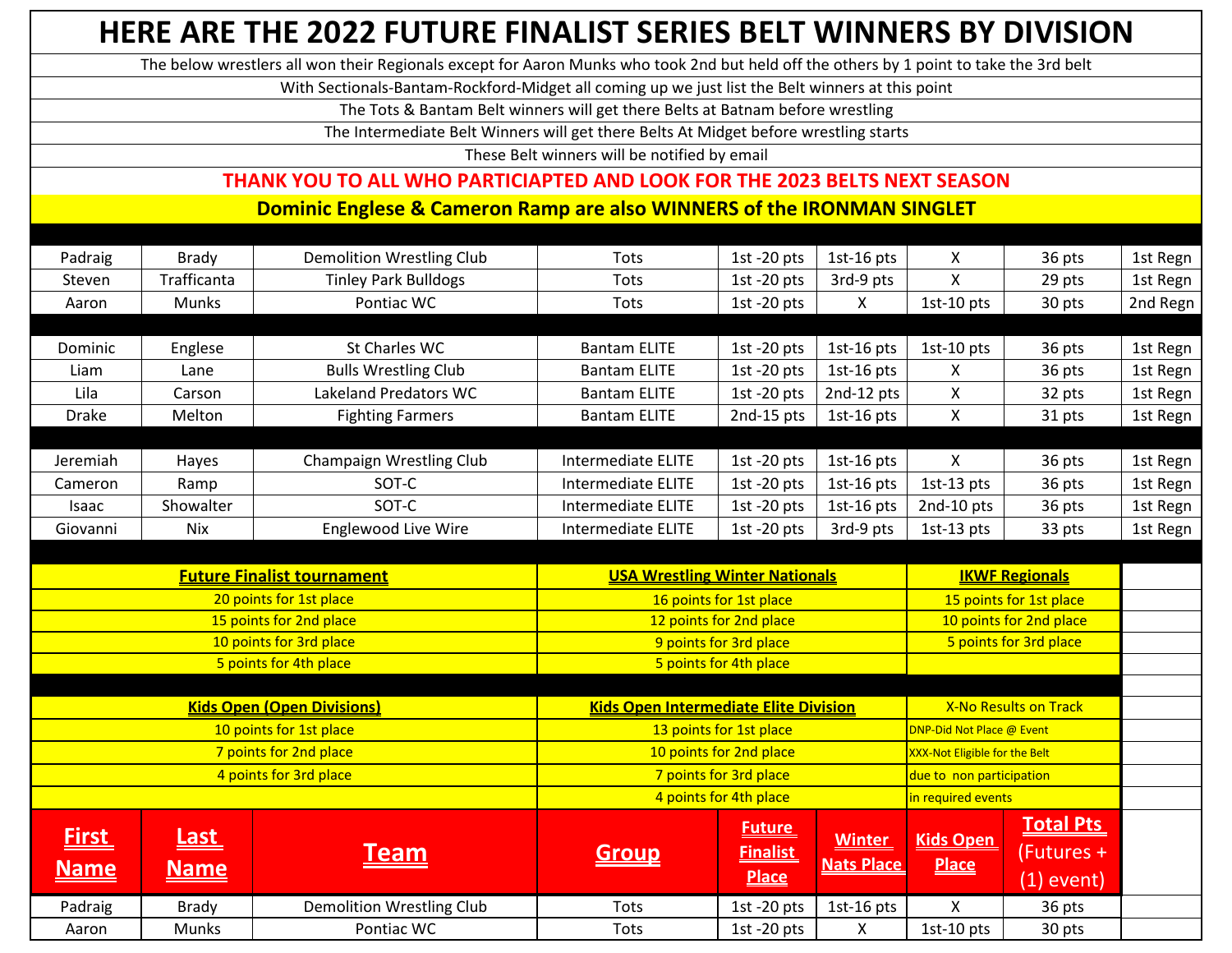|                                                  |                                                                                                  | HERE ARE THE 2022 FUTURE FINALIST SERIES BELT WINNERS BY DIVISION                                                                       |                                                   |                                                  |                                    |                                      |                                                |          |
|--------------------------------------------------|--------------------------------------------------------------------------------------------------|-----------------------------------------------------------------------------------------------------------------------------------------|---------------------------------------------------|--------------------------------------------------|------------------------------------|--------------------------------------|------------------------------------------------|----------|
|                                                  |                                                                                                  | The below wrestlers all won their Regionals except for Aaron Munks who took 2nd but held off the others by 1 point to take the 3rd belt |                                                   |                                                  |                                    |                                      |                                                |          |
|                                                  | With Sectionals-Bantam-Rockford-Midget all coming up we just list the Belt winners at this point |                                                                                                                                         |                                                   |                                                  |                                    |                                      |                                                |          |
|                                                  |                                                                                                  | The Tots & Bantam Belt winners will get there Belts at Batnam before wrestling                                                          |                                                   |                                                  |                                    |                                      |                                                |          |
|                                                  |                                                                                                  | The Intermediate Belt Winners will get there Belts At Midget before wrestling starts                                                    |                                                   |                                                  |                                    |                                      |                                                |          |
|                                                  |                                                                                                  |                                                                                                                                         | These Belt winners will be notified by email      |                                                  |                                    |                                      |                                                |          |
|                                                  |                                                                                                  | THANK YOU TO ALL WHO PARTICIAPTED AND LOOK FOR THE 2023 BELTS NEXT SEASON                                                               |                                                   |                                                  |                                    |                                      |                                                |          |
|                                                  |                                                                                                  | Dominic Englese & Cameron Ramp are also WINNERS of the IRONMAN SINGLET                                                                  |                                                   |                                                  |                                    |                                      |                                                |          |
|                                                  |                                                                                                  |                                                                                                                                         |                                                   |                                                  |                                    |                                      |                                                |          |
| Padraig                                          | <b>Brady</b>                                                                                     | Demolition Wrestling Club                                                                                                               | Tots                                              | 1st $-20$ pts                                    | $1st-16$ pts                       | X                                    | 36 pts                                         | 1st Regn |
| Steven                                           | Trafficanta                                                                                      | <b>Tinley Park Bulldogs</b>                                                                                                             | Tots                                              | 1st -20 $pts$                                    | 3rd-9 pts                          | X                                    | 29 pts                                         | 1st Regn |
| Aaron                                            | <b>Munks</b>                                                                                     | Pontiac WC                                                                                                                              | Tots                                              | 1st $-20$ pts                                    | X                                  | 1st-10 pts                           | 30 pts                                         | 2nd Regn |
|                                                  |                                                                                                  |                                                                                                                                         |                                                   |                                                  |                                    |                                      |                                                |          |
| Dominic                                          | Englese                                                                                          | St Charles WC                                                                                                                           | <b>Bantam ELITE</b><br><b>Bantam ELITE</b>        | 1st -20 $pts$                                    | 1st-16 $pts$                       | 1st-10 pts                           | 36 pts                                         | 1st Regn |
| Liam<br>Lila                                     | Lane                                                                                             | <b>Bulls Wrestling Club</b><br>Lakeland Predators WC                                                                                    |                                                   | 1st $-20$ pts                                    | 1st-16 $pts$                       | X<br>X                               | 36 pts                                         | 1st Regn |
| <b>Drake</b>                                     | Carson<br>Melton                                                                                 |                                                                                                                                         | <b>Bantam ELITE</b>                               | 1st -20 pts                                      | 2nd-12 pts                         | X                                    | 32 pts                                         | 1st Regn |
|                                                  |                                                                                                  | <b>Fighting Farmers</b>                                                                                                                 | <b>Bantam ELITE</b>                               | 2nd-15 pts                                       | 1st-16 $pts$                       |                                      | 31 pts                                         | 1st Regn |
| Jeremiah                                         | Hayes                                                                                            | <b>Champaign Wrestling Club</b>                                                                                                         | <b>Intermediate ELITE</b>                         | 1st $-20$ pts                                    | 1st-16 $pts$                       | X                                    | 36 pts                                         | 1st Regn |
| Cameron                                          | Ramp                                                                                             | SOT-C                                                                                                                                   | <b>Intermediate ELITE</b>                         | 1st $-20$ pts                                    | $1st-16$ pts                       | 1st-13 $pts$                         | 36 pts                                         | 1st Regn |
| Isaac                                            | Showalter                                                                                        | SOT-C                                                                                                                                   | Intermediate ELITE                                | 1st -20 $pts$                                    | 1st-16 $pts$                       | 2nd-10 pts                           | 36 pts                                         | 1st Regn |
| Giovanni                                         | Nix                                                                                              | <b>Englewood Live Wire</b>                                                                                                              | Intermediate ELITE                                | 1st -20 $pts$                                    | 3rd-9 pts                          | 1st-13 pts                           | 33 pts                                         | 1st Regn |
|                                                  |                                                                                                  |                                                                                                                                         |                                                   |                                                  |                                    |                                      |                                                |          |
|                                                  |                                                                                                  | <b>Future Finalist tournament</b>                                                                                                       | <b>USA Wrestling Winter Nationals</b>             |                                                  |                                    |                                      | <b>IKWF Regionals</b>                          |          |
|                                                  |                                                                                                  | 20 points for 1st place                                                                                                                 | 16 points for 1st place                           |                                                  |                                    | 15 points for 1st place              |                                                |          |
|                                                  |                                                                                                  | 15 points for 2nd place                                                                                                                 | 12 points for 2nd place                           |                                                  |                                    | 10 points for 2nd place              |                                                |          |
|                                                  |                                                                                                  | 10 points for 3rd place                                                                                                                 | 9 points for 3rd place                            |                                                  |                                    | 5 points for 3rd place               |                                                |          |
|                                                  |                                                                                                  | 5 points for 4th place                                                                                                                  | 5 points for 4th place                            |                                                  |                                    |                                      |                                                |          |
|                                                  |                                                                                                  | <b>Kids Open (Open Divisions)</b>                                                                                                       | <b>Kids Open Intermediate Elite Division</b>      |                                                  |                                    | <b>X-No Results on Track</b>         |                                                |          |
|                                                  |                                                                                                  | 10 points for 1st place                                                                                                                 | 13 points for 1st place                           |                                                  |                                    | DNP-Did Not Place @ Event            |                                                |          |
| 7 points for 2nd place<br>4 points for 3rd place |                                                                                                  |                                                                                                                                         | 10 points for 2nd place<br>7 points for 3rd place |                                                  |                                    | <b>XXX-Not Eligible for the Belt</b> |                                                |          |
|                                                  |                                                                                                  |                                                                                                                                         |                                                   |                                                  |                                    | due to non participation             |                                                |          |
|                                                  |                                                                                                  |                                                                                                                                         |                                                   | 4 points for 4th place                           |                                    | in required events                   |                                                |          |
| <u>First</u><br><b>Name</b>                      | <u>Last_</u><br><b>Name</b>                                                                      | <u>Team</u>                                                                                                                             | <b>Group</b>                                      | <b>Future</b><br><b>Finalist</b><br><b>Place</b> | <b>Winter</b><br><b>Nats Place</b> | <b>Kids Open</b><br><b>Place</b>     | <b>Total Pts</b><br>(Futures +<br>$(1)$ event) |          |
| Padraig                                          | <b>Brady</b>                                                                                     | <b>Demolition Wrestling Club</b>                                                                                                        | Tots                                              | 1st -20 pts                                      | 1st-16 $pts$                       | $\mathsf{X}$                         | 36 pts                                         |          |
| Aaron                                            | Munks                                                                                            | Pontiac WC                                                                                                                              | Tots                                              | 1st -20 $pts$                                    | $\mathsf{X}$                       | 1st-10 pts                           | 30 pts                                         |          |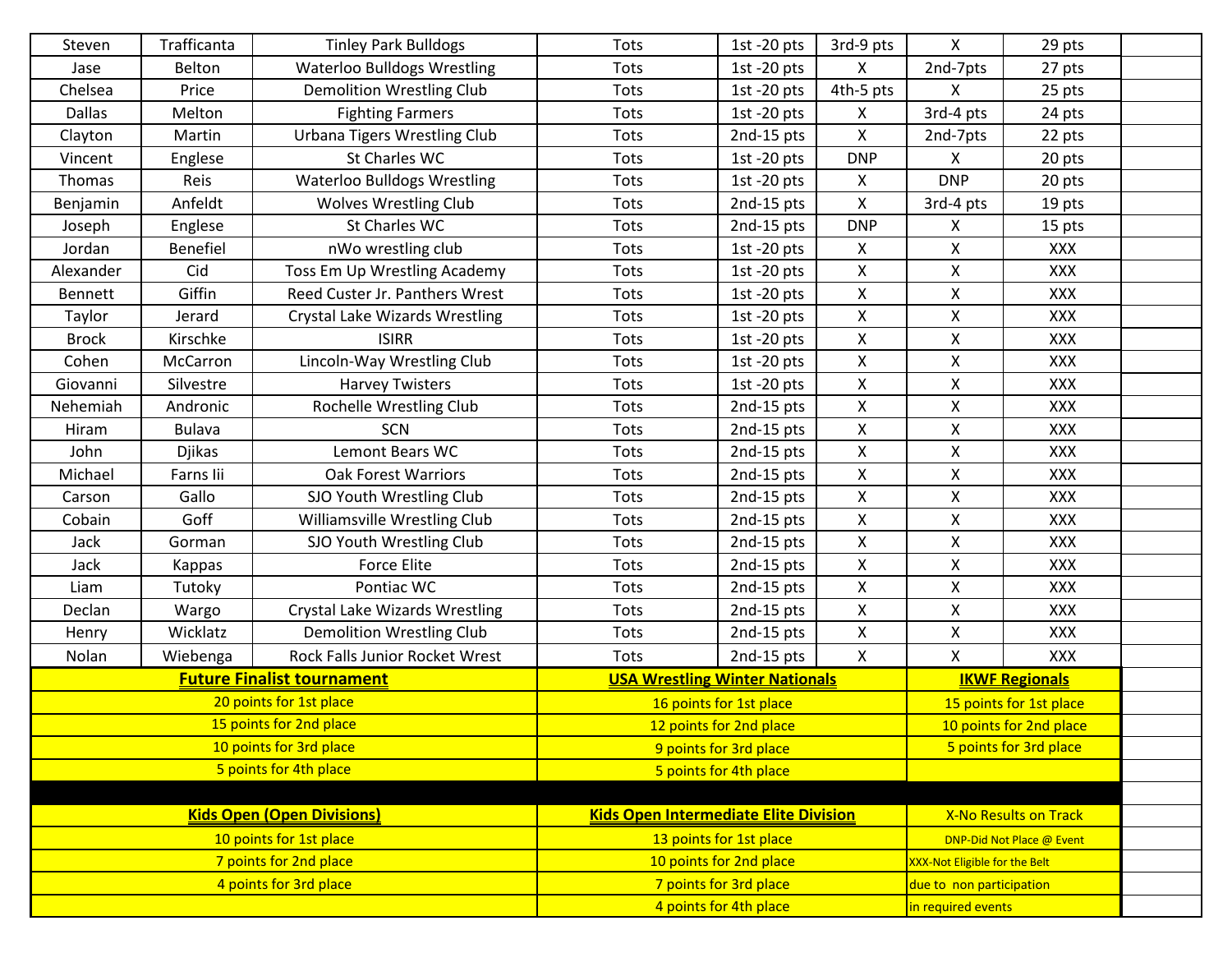| Steven                            | Trafficanta     | <b>Tinley Park Bulldogs</b>                  | Tots                                  | 1st -20 $pts$ | 3rd-9 pts                    | X                                    | 29 pts     |  |
|-----------------------------------|-----------------|----------------------------------------------|---------------------------------------|---------------|------------------------------|--------------------------------------|------------|--|
| Jase                              | Belton          | <b>Waterloo Bulldogs Wrestling</b>           | Tots                                  | 1st $-20$ pts | X                            | 2nd-7pts                             | 27 pts     |  |
| Chelsea                           | Price           | <b>Demolition Wrestling Club</b>             | Tots                                  | 1st -20 $pts$ | 4th-5 pts                    | X                                    | 25 pts     |  |
| <b>Dallas</b>                     | Melton          | <b>Fighting Farmers</b>                      | Tots                                  | 1st -20 $pts$ | X                            | 3rd-4 pts                            | 24 pts     |  |
| Clayton                           | Martin          | <b>Urbana Tigers Wrestling Club</b>          | Tots                                  | 2nd-15 pts    | X                            | 2nd-7pts                             | 22 pts     |  |
| Vincent                           | Englese         | St Charles WC                                | Tots                                  | 1st -20 $pts$ | <b>DNP</b>                   | X                                    | 20 pts     |  |
| Thomas                            | Reis            | <b>Waterloo Bulldogs Wrestling</b>           | Tots                                  | 1st -20 $pts$ | X                            | <b>DNP</b>                           | 20 pts     |  |
| Benjamin                          | Anfeldt         | <b>Wolves Wrestling Club</b>                 | Tots                                  | 2nd-15 pts    | X                            | 3rd-4 pts                            | 19 pts     |  |
| Joseph                            | Englese         | St Charles WC                                | Tots                                  | 2nd-15 pts    | <b>DNP</b>                   | X                                    | 15 pts     |  |
| Jordan                            | <b>Benefiel</b> | nWo wrestling club                           | Tots                                  | 1st -20 $pts$ | X                            | X                                    | <b>XXX</b> |  |
| Alexander                         | Cid             | Toss Em Up Wrestling Academy                 | Tots                                  | 1st -20 $pts$ | X                            | Χ                                    | XXX        |  |
| <b>Bennett</b>                    | Giffin          | Reed Custer Jr. Panthers Wrest               | Tots                                  | 1st -20 $pts$ | X                            | X                                    | XXX        |  |
| Taylor                            | Jerard          | <b>Crystal Lake Wizards Wrestling</b>        | Tots                                  | 1st -20 $pts$ | Χ                            | X                                    | XXX        |  |
| <b>Brock</b>                      | Kirschke        | <b>ISIRR</b>                                 | Tots                                  | 1st -20 $pts$ | X                            | X                                    | XXX        |  |
| Cohen                             | McCarron        | Lincoln-Way Wrestling Club                   | Tots                                  | 1st -20 $pts$ | X                            | X                                    | XXX        |  |
| Giovanni                          | Silvestre       | <b>Harvey Twisters</b>                       | Tots                                  | 1st $-20$ pts | X                            | Χ                                    | XXX        |  |
| Nehemiah                          | Andronic        | Rochelle Wrestling Club                      | Tots                                  | 2nd-15 pts    | X                            | Χ                                    | XXX        |  |
| Hiram                             | <b>Bulava</b>   | SCN                                          | Tots                                  | 2nd-15 pts    | $\mathsf{X}$                 | X                                    | XXX        |  |
| John                              | <b>Djikas</b>   | Lemont Bears WC                              | Tots                                  | 2nd-15 pts    | X                            | Χ                                    | XXX        |  |
| Michael                           | Farns lii       | <b>Oak Forest Warriors</b>                   | Tots                                  | 2nd-15 pts    | X                            | X                                    | XXX        |  |
| Carson                            | Gallo           | SJO Youth Wrestling Club                     | Tots                                  | 2nd-15 pts    | X                            | X                                    | XXX        |  |
| Cobain                            | Goff            | Williamsville Wrestling Club                 | Tots                                  | 2nd-15 pts    | X                            | X                                    | XXX        |  |
| Jack                              | Gorman          | SJO Youth Wrestling Club                     | Tots                                  | 2nd-15 pts    | X                            | X                                    | XXX        |  |
| Jack                              | Kappas          | <b>Force Elite</b>                           | Tots                                  | 2nd-15 pts    | X                            | Χ                                    | XXX        |  |
| Liam                              | Tutoky          | Pontiac WC                                   | Tots                                  | 2nd-15 pts    | X                            | $\mathsf{X}$                         | XXX        |  |
| Declan                            | Wargo           | <b>Crystal Lake Wizards Wrestling</b>        | Tots                                  | 2nd-15 pts    | X                            | X                                    | XXX        |  |
| Henry                             | Wicklatz        | <b>Demolition Wrestling Club</b>             | Tots                                  | 2nd-15 pts    | X                            | X                                    | XXX        |  |
| Nolan                             | Wiebenga        | Rock Falls Junior Rocket Wrest               | <b>Tots</b>                           | 2nd-15 pts    | X                            | X                                    | XXX        |  |
|                                   |                 | <b>Future Finalist tournament</b>            | <b>USA Wrestling Winter Nationals</b> |               |                              | <b>IKWF Regionals</b>                |            |  |
|                                   |                 | 20 points for 1st place                      | 16 points for 1st place               |               |                              | 15 points for 1st place              |            |  |
| 15 points for 2nd place           |                 |                                              | 12 points for 2nd place               |               |                              | 10 points for 2nd place              |            |  |
| 10 points for 3rd place           |                 |                                              | 9 points for 3rd place                |               |                              | 5 points for 3rd place               |            |  |
| 5 points for 4th place            |                 | 5 points for 4th place                       |                                       |               |                              |                                      |            |  |
|                                   |                 |                                              |                                       |               |                              |                                      |            |  |
| <b>Kids Open (Open Divisions)</b> |                 | <b>Kids Open Intermediate Elite Division</b> |                                       |               | <b>X-No Results on Track</b> |                                      |            |  |
| 10 points for 1st place           |                 | 13 points for 1st place                      |                                       |               | DNP-Did Not Place @ Event    |                                      |            |  |
| 7 points for 2nd place            |                 |                                              | 10 points for 2nd place               |               |                              | <b>XXX-Not Eligible for the Belt</b> |            |  |
|                                   |                 | 4 points for 3rd place                       | 7 points for 3rd place                |               |                              | due to non participation             |            |  |
|                                   |                 |                                              | 4 points for 4th place                |               |                              | in required events                   |            |  |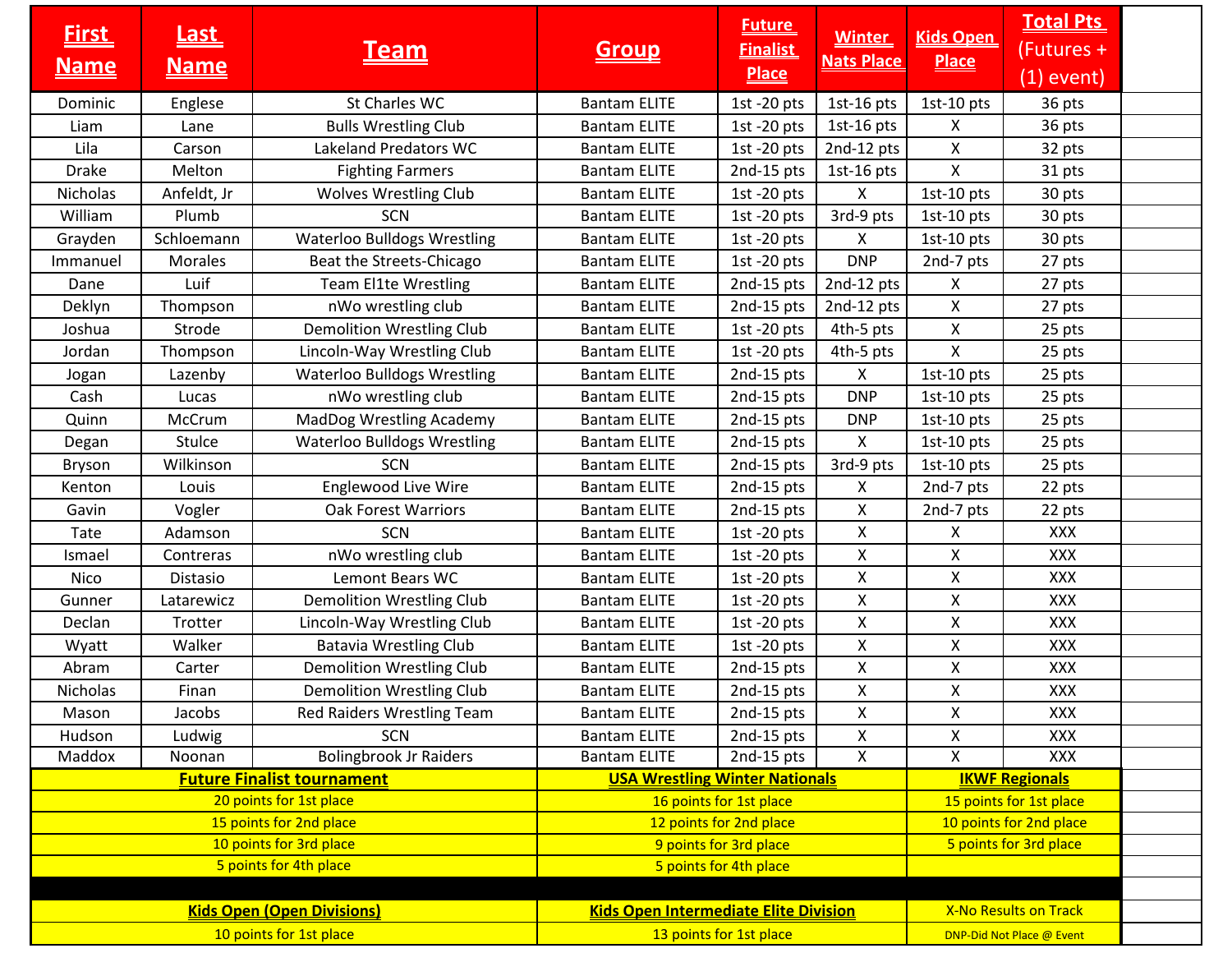| <b>First</b><br><u>Name</u>       | <u>Last</u><br><u>Name</u> | <u>Team</u>                                  | <u>Group</u>                                                   | <b>Future</b><br><b>Finalist</b><br><b>Place</b> | <b>Winter</b><br><b>Nats Place</b> | <b>Kids Open</b><br><b>Place</b> | <b>Total Pts</b><br>(Futures +<br>$(1)$ event) |  |
|-----------------------------------|----------------------------|----------------------------------------------|----------------------------------------------------------------|--------------------------------------------------|------------------------------------|----------------------------------|------------------------------------------------|--|
| Dominic                           | Englese                    | St Charles WC                                | <b>Bantam ELITE</b>                                            | 1st $-20$ pts                                    | 1st-16 pts                         | 1st-10 pts                       | 36 pts                                         |  |
| Liam                              | Lane                       | <b>Bulls Wrestling Club</b>                  | <b>Bantam ELITE</b>                                            | 1st -20 $pts$                                    | $1st-16pts$                        | X                                | 36 pts                                         |  |
| Lila                              | Carson                     | Lakeland Predators WC                        | <b>Bantam ELITE</b>                                            | 1st -20 $pts$                                    | 2nd-12 pts                         | X                                | 32 pts                                         |  |
| <b>Drake</b>                      | Melton                     | <b>Fighting Farmers</b>                      | <b>Bantam ELITE</b>                                            | 2nd-15 pts                                       | 1st-16 pts                         | X                                | 31 pts                                         |  |
| Nicholas                          | Anfeldt, Jr                | <b>Wolves Wrestling Club</b>                 | <b>Bantam ELITE</b>                                            | 1st -20 $pts$                                    | X                                  | 1st-10 pts                       | 30 pts                                         |  |
| William                           | Plumb                      | <b>SCN</b>                                   | <b>Bantam ELITE</b>                                            | 1st -20 $pts$                                    | 3rd-9 pts                          | 1st-10 pts                       | 30 pts                                         |  |
| Grayden                           | Schloemann                 | <b>Waterloo Bulldogs Wrestling</b>           | <b>Bantam ELITE</b>                                            | 1st -20 $pts$                                    | X.                                 | 1st-10 pts                       | 30 pts                                         |  |
| Immanuel                          | Morales                    | Beat the Streets-Chicago                     | <b>Bantam ELITE</b>                                            | 1st $-20$ pts                                    | <b>DNP</b>                         | 2nd-7 pts                        | 27 pts                                         |  |
| Dane                              | Luif                       | <b>Team El1te Wrestling</b>                  | <b>Bantam ELITE</b>                                            | 2nd-15 pts                                       | 2nd-12 pts                         | X                                | 27 pts                                         |  |
| Deklyn                            | Thompson                   | nWo wrestling club                           | <b>Bantam ELITE</b>                                            | 2nd-15 pts                                       | 2nd-12 pts                         | X                                | 27 pts                                         |  |
| Joshua                            | Strode                     | <b>Demolition Wrestling Club</b>             | <b>Bantam ELITE</b>                                            | 1st -20 pts                                      | 4th-5 pts                          | X                                | 25 pts                                         |  |
| Jordan                            | Thompson                   | Lincoln-Way Wrestling Club                   | <b>Bantam ELITE</b>                                            | 1st -20 $pts$                                    | 4th-5 pts                          | X                                | 25 pts                                         |  |
| Jogan                             | Lazenby                    | <b>Waterloo Bulldogs Wrestling</b>           | <b>Bantam ELITE</b>                                            | 2nd-15 pts                                       | X                                  | 1st-10 pts                       | 25 pts                                         |  |
| Cash                              | Lucas                      | nWo wrestling club                           | <b>Bantam ELITE</b>                                            | 2nd-15 pts                                       | <b>DNP</b>                         | $1st-10$ pts                     | 25 pts                                         |  |
| Quinn                             | McCrum                     | <b>MadDog Wrestling Academy</b>              | <b>Bantam ELITE</b>                                            | 2nd-15 pts                                       | <b>DNP</b>                         | 1st-10 pts                       | 25 pts                                         |  |
| Degan                             | Stulce                     | <b>Waterloo Bulldogs Wrestling</b>           | <b>Bantam ELITE</b>                                            | 2nd-15 pts                                       | X                                  | 1st-10 pts                       | 25 pts                                         |  |
| <b>Bryson</b>                     | Wilkinson                  | <b>SCN</b>                                   | <b>Bantam ELITE</b>                                            | 2nd-15 pts                                       | 3rd-9 pts                          | 1st-10 pts                       | 25 pts                                         |  |
| Kenton                            | Louis                      | Englewood Live Wire                          | <b>Bantam ELITE</b>                                            | 2nd-15 pts                                       | X                                  | 2nd-7 pts                        | 22 pts                                         |  |
| Gavin                             | Vogler                     | <b>Oak Forest Warriors</b>                   | <b>Bantam ELITE</b>                                            | 2nd-15 pts                                       | Χ                                  | 2nd-7 pts                        | 22 pts                                         |  |
| Tate                              | Adamson                    | <b>SCN</b>                                   | <b>Bantam ELITE</b>                                            | 1st $-20$ pts                                    | X                                  | X                                | <b>XXX</b>                                     |  |
| Ismael                            | Contreras                  | nWo wrestling club                           | <b>Bantam ELITE</b>                                            | 1st -20 $pts$                                    | $\mathsf{X}$                       | X                                | XXX                                            |  |
| Nico                              | Distasio                   | Lemont Bears WC                              | <b>Bantam ELITE</b>                                            | 1st -20 $pts$                                    | X.                                 | X.                               | XXX                                            |  |
| Gunner                            | Latarewicz                 | <b>Demolition Wrestling Club</b>             | <b>Bantam ELITE</b>                                            | 1st -20 $pts$                                    | Χ                                  | X                                | XXX                                            |  |
| Declan                            | Trotter                    | Lincoln-Way Wrestling Club                   | <b>Bantam ELITE</b>                                            | 1st -20 $pts$                                    | X                                  | X                                | <b>XXX</b>                                     |  |
| Wyatt                             | Walker                     | <b>Batavia Wrestling Club</b>                | <b>Bantam ELITE</b>                                            | 1st -20 $pts$                                    | Χ                                  | X                                | <b>XXX</b>                                     |  |
| Abram                             | Carter                     | <b>Demolition Wrestling Club</b>             | <b>Bantam ELITE</b>                                            | 2nd-15 pts                                       | X                                  | Χ                                | <b>XXX</b>                                     |  |
| Nicholas                          | Finan                      | <b>Demolition Wrestling Club</b>             | <b>Bantam ELITE</b>                                            | 2nd-15 pts                                       | X.                                 | X                                | XXX                                            |  |
| Mason                             | Jacobs                     | Red Raiders Wrestling Team                   | <b>Bantam ELITE</b>                                            | 2nd-15 pts                                       | X                                  | X                                | <b>XXX</b>                                     |  |
| Hudson                            | Ludwig                     | <b>SCN</b>                                   | <b>Bantam ELITE</b>                                            | 2nd-15 pts                                       | X                                  | Χ                                | XXX                                            |  |
| Maddox                            | Noonan                     | <b>Bolingbrook Jr Raiders</b>                | <b>Bantam ELITE</b>                                            | 2nd-15 pts                                       | $\overline{\mathsf{x}}$            | X                                | <b>XXX</b>                                     |  |
| <b>Future Finalist tournament</b> |                            |                                              | <b>USA Wrestling Winter Nationals</b><br><b>IKWF Regionals</b> |                                                  |                                    |                                  |                                                |  |
| 20 points for 1st place           |                            | 16 points for 1st place                      |                                                                | 15 points for 1st place                          |                                    |                                  |                                                |  |
| 15 points for 2nd place           |                            | 12 points for 2nd place                      |                                                                |                                                  | 10 points for 2nd place            |                                  |                                                |  |
| 10 points for 3rd place           |                            | 9 points for 3rd place                       |                                                                |                                                  | 5 points for 3rd place             |                                  |                                                |  |
|                                   |                            | 5 points for 4th place                       | 5 points for 4th place                                         |                                                  |                                    |                                  |                                                |  |
|                                   |                            |                                              |                                                                |                                                  |                                    |                                  | <b>X-No Results on Track</b>                   |  |
| <b>Kids Open (Open Divisions)</b> |                            | <b>Kids Open Intermediate Elite Division</b> |                                                                |                                                  |                                    |                                  |                                                |  |
| 10 points for 1st place           |                            | 13 points for 1st place                      |                                                                |                                                  | DNP-Did Not Place @ Event          |                                  |                                                |  |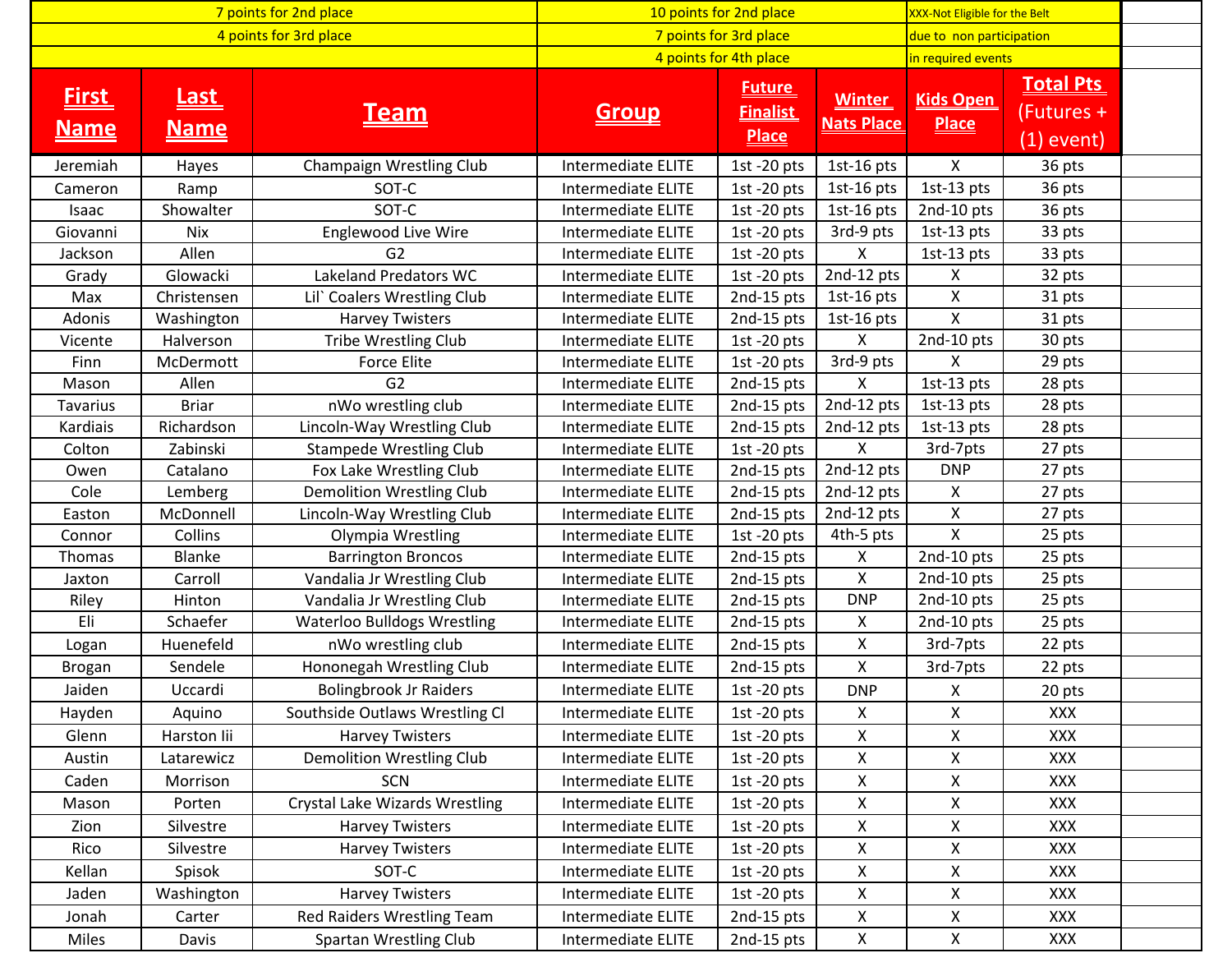| 7 points for 2nd place      |                             | 10 points for 2nd place            |                           |                                                  | XXX-Not Eligible for the Belt      |                                  |                                                |  |
|-----------------------------|-----------------------------|------------------------------------|---------------------------|--------------------------------------------------|------------------------------------|----------------------------------|------------------------------------------------|--|
| 4 points for 3rd place      |                             |                                    | 7 points for 3rd place    |                                                  |                                    | due to non participation         |                                                |  |
|                             |                             |                                    | 4 points for 4th place    |                                                  |                                    | in required events               |                                                |  |
| <b>First</b><br><u>Name</u> | <u>Last_</u><br><u>Name</u> | <b>Team</b>                        | <u>Group</u>              | <b>Future</b><br><b>Finalist</b><br><b>Place</b> | <b>Winter</b><br><b>Nats Place</b> | <b>Kids Open</b><br><b>Place</b> | <b>Total Pts</b><br>(Futures +<br>$(1)$ event) |  |
| Jeremiah                    | Hayes                       | Champaign Wrestling Club           | <b>Intermediate ELITE</b> | 1st $-20$ pts                                    | 1st-16 $pts$                       | X                                | 36 pts                                         |  |
| Cameron                     | Ramp                        | SOT-C                              | <b>Intermediate ELITE</b> | 1st -20 $pts$                                    | 1st-16 $pts$                       | 1st-13 pts                       | 36 pts                                         |  |
| Isaac                       | Showalter                   | SOT-C                              | Intermediate ELITE        | 1st -20 $pts$                                    | 1st-16 $pts$                       | 2nd-10 pts                       | 36 pts                                         |  |
| Giovanni                    | Nix                         | <b>Englewood Live Wire</b>         | Intermediate ELITE        | 1st -20 $pts$                                    | 3rd-9 pts                          | 1st-13 pts                       | 33 pts                                         |  |
| Jackson                     | Allen                       | G <sub>2</sub>                     | Intermediate ELITE        | 1st -20 $pts$                                    | X.                                 | 1st-13 pts                       | 33 pts                                         |  |
| Grady                       | Glowacki                    | Lakeland Predators WC              | Intermediate ELITE        | 1st -20 $pts$                                    | 2nd-12 pts                         | $\pmb{\mathsf{X}}$               | 32 pts                                         |  |
| Max                         | Christensen                 | Lil' Coalers Wrestling Club        | Intermediate ELITE        | 2nd-15 pts                                       | 1st-16 $pts$                       | X                                | 31 pts                                         |  |
| Adonis                      | Washington                  | <b>Harvey Twisters</b>             | Intermediate ELITE        | 2nd-15 pts                                       | 1st-16 $pts$                       | X                                | 31 pts                                         |  |
| Vicente                     | Halverson                   | Tribe Wrestling Club               | Intermediate ELITE        | $1st - 20pts$                                    | X.                                 | 2nd-10 pts                       | 30 pts                                         |  |
| Finn                        | McDermott                   | Force Elite                        | Intermediate ELITE        | 1st -20 $pts$                                    | 3rd-9 pts                          | X                                | 29 pts                                         |  |
| Mason                       | Allen                       | G <sub>2</sub>                     | Intermediate ELITE        | 2nd-15 pts                                       | X                                  | $1st-13$ pts                     | 28 pts                                         |  |
| <b>Tavarius</b>             | <b>Briar</b>                | nWo wrestling club                 | Intermediate ELITE        | 2nd-15 pts                                       | 2nd-12 pts                         | 1st-13 pts                       | 28 pts                                         |  |
| Kardiais                    | Richardson                  | Lincoln-Way Wrestling Club         | <b>Intermediate ELITE</b> | 2nd-15 pts                                       | 2nd-12 pts                         | $1st-13$ pts                     | 28 pts                                         |  |
| Colton                      | Zabinski                    | <b>Stampede Wrestling Club</b>     | Intermediate ELITE        | 1st $-20$ pts                                    | X.                                 | 3rd-7pts                         | 27 pts                                         |  |
| Owen                        | Catalano                    | Fox Lake Wrestling Club            | Intermediate ELITE        | 2nd-15 pts                                       | $2nd-12$ pts                       | <b>DNP</b>                       | 27 pts                                         |  |
| Cole                        | Lemberg                     | <b>Demolition Wrestling Club</b>   | Intermediate ELITE        | 2nd-15 pts                                       | 2nd-12 pts                         | X                                | 27 pts                                         |  |
| Easton                      | McDonnell                   | Lincoln-Way Wrestling Club         | Intermediate ELITE        | 2nd-15 pts                                       | 2nd-12 pts                         | X                                | 27 pts                                         |  |
| Connor                      | Collins                     | Olympia Wrestling                  | Intermediate ELITE        | 1st -20 $pts$                                    | 4th-5 pts                          | Χ                                | 25 pts                                         |  |
| <b>Thomas</b>               | Blanke                      | <b>Barrington Broncos</b>          | Intermediate ELITE        | 2nd-15 pts                                       | $\mathsf{X}$                       | 2nd-10 pts                       | 25 pts                                         |  |
| Jaxton                      | Carroll                     | Vandalia Jr Wrestling Club         | Intermediate ELITE        | 2nd-15 pts                                       | $\pmb{\mathsf{X}}$                 | 2nd-10 pts                       | 25 pts                                         |  |
| Riley                       | Hinton                      | Vandalia Jr Wrestling Club         | Intermediate ELITE        | 2nd-15 pts                                       | <b>DNP</b>                         | 2nd-10 pts                       | 25 pts                                         |  |
| Eli                         | Schaefer                    | <b>Waterloo Bulldogs Wrestling</b> | Intermediate ELITE        | 2nd-15 pts                                       | $\pmb{\mathsf{X}}$                 | 2nd-10 pts                       | 25 pts                                         |  |
| Logan                       | Huenefeld                   | nWo wrestling club                 | Intermediate ELITE        | 2nd-15 pts                                       | X                                  | 3rd-7pts                         | 22 pts                                         |  |
| Brogan                      | Sendele                     | Hononegah Wrestling Club           | Intermediate ELITE        | 2nd-15 pts                                       | $\mathsf{X}$                       | 3rd-7pts                         | 22 pts                                         |  |
| Jaiden                      | Uccardi                     | <b>Bolingbrook Jr Raiders</b>      | <b>Intermediate ELITE</b> | 1st -20 $pts$                                    | <b>DNP</b>                         | X                                | 20 pts                                         |  |
| Hayden                      | Aquino                      | Southside Outlaws Wrestling Cl     | Intermediate ELITE        | 1st -20 $pts$                                    | X                                  | X                                | <b>XXX</b>                                     |  |
| Glenn                       | Harston lii                 | <b>Harvey Twisters</b>             | Intermediate ELITE        | 1st -20 $pts$                                    | X.                                 | X                                | <b>XXX</b>                                     |  |
| Austin                      | Latarewicz                  | <b>Demolition Wrestling Club</b>   | Intermediate ELITE        | 1st $-20$ pts                                    | X.                                 | X                                | <b>XXX</b>                                     |  |
| Caden                       | Morrison                    | <b>SCN</b>                         | <b>Intermediate ELITE</b> | 1st $-20$ pts                                    | X.                                 | Χ                                | <b>XXX</b>                                     |  |
| Mason                       | Porten                      | Crystal Lake Wizards Wrestling     | Intermediate ELITE        | 1st $-20$ pts                                    | X                                  | Χ                                | <b>XXX</b>                                     |  |
| Zion                        | Silvestre                   | <b>Harvey Twisters</b>             | <b>Intermediate ELITE</b> | 1st $-20$ pts                                    | Χ                                  | $\pmb{\mathsf{X}}$               | XXX                                            |  |
| Rico                        | Silvestre                   | <b>Harvey Twisters</b>             | Intermediate ELITE        | 1st -20 $pts$                                    | Χ                                  | Χ                                | XXX                                            |  |
| Kellan                      | Spisok                      | SOT-C                              | Intermediate ELITE        | 1st -20 $pts$                                    | Χ                                  | $\pmb{\mathsf{X}}$               | XXX                                            |  |
| Jaden                       | Washington                  | <b>Harvey Twisters</b>             | Intermediate ELITE        | 1st -20 $pts$                                    | X                                  | $\pmb{\mathsf{X}}$               | <b>XXX</b>                                     |  |
| Jonah                       | Carter                      | Red Raiders Wrestling Team         | Intermediate ELITE        | 2nd-15 pts                                       | Χ                                  | Χ                                | <b>XXX</b>                                     |  |
| Miles                       | Davis                       | <b>Spartan Wrestling Club</b>      | Intermediate ELITE        | 2nd-15 pts                                       | Χ                                  | $\pmb{\mathsf{X}}$               | XXX                                            |  |